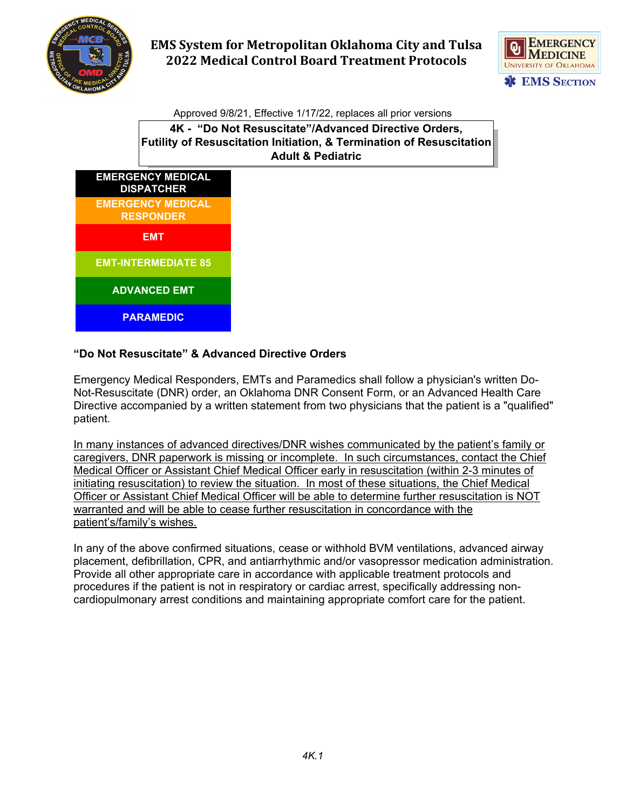



Approved 9/8/21, Effective 1/17/22, replaces all prior versions

**4K - "Do Not Resuscitate"/Advanced Directive Orders, Futility of Resuscitation Initiation, & Termination of Resuscitation Adult & Pediatric**



## **"Do Not Resuscitate" & Advanced Directive Orders**

Emergency Medical Responders, EMTs and Paramedics shall follow a physician's written Do-Not-Resuscitate (DNR) order, an Oklahoma DNR Consent Form, or an Advanced Health Care Directive accompanied by a written statement from two physicians that the patient is a "qualified" patient.

In many instances of advanced directives/DNR wishes communicated by the patient's family or caregivers, DNR paperwork is missing or incomplete. In such circumstances, contact the Chief Medical Officer or Assistant Chief Medical Officer early in resuscitation (within 2-3 minutes of initiating resuscitation) to review the situation. In most of these situations, the Chief Medical Officer or Assistant Chief Medical Officer will be able to determine further resuscitation is NOT warranted and will be able to cease further resuscitation in concordance with the patient's/family's wishes.

In any of the above confirmed situations, cease or withhold BVM ventilations, advanced airway placement, defibrillation, CPR, and antiarrhythmic and/or vasopressor medication administration. Provide all other appropriate care in accordance with applicable treatment protocols and procedures if the patient is not in respiratory or cardiac arrest, specifically addressing noncardiopulmonary arrest conditions and maintaining appropriate comfort care for the patient.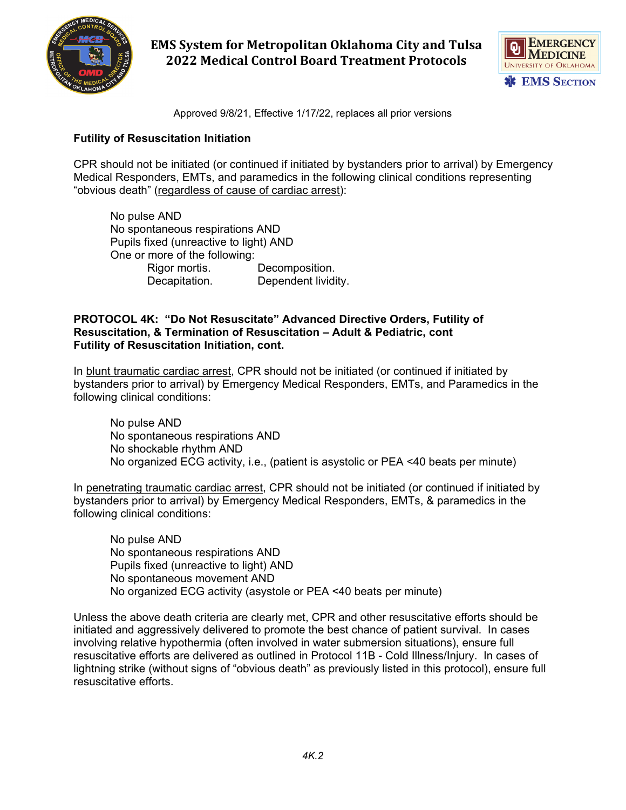



Approved 9/8/21, Effective 1/17/22, replaces all prior versions

### **Futility of Resuscitation Initiation**

CPR should not be initiated (or continued if initiated by bystanders prior to arrival) by Emergency Medical Responders, EMTs, and paramedics in the following clinical conditions representing "obvious death" (regardless of cause of cardiac arrest):

No pulse AND No spontaneous respirations AND Pupils fixed (unreactive to light) AND One or more of the following: Rigor mortis. Decomposition. Decapitation. Dependent lividity.

#### **PROTOCOL 4K: "Do Not Resuscitate" Advanced Directive Orders, Futility of Resuscitation, & Termination of Resuscitation – Adult & Pediatric, cont Futility of Resuscitation Initiation, cont.**

In blunt traumatic cardiac arrest, CPR should not be initiated (or continued if initiated by bystanders prior to arrival) by Emergency Medical Responders, EMTs, and Paramedics in the following clinical conditions:

No pulse AND No spontaneous respirations AND No shockable rhythm AND No organized ECG activity, i.e., (patient is asystolic or PEA <40 beats per minute)

In penetrating traumatic cardiac arrest, CPR should not be initiated (or continued if initiated by bystanders prior to arrival) by Emergency Medical Responders, EMTs, & paramedics in the following clinical conditions:

No pulse AND No spontaneous respirations AND Pupils fixed (unreactive to light) AND No spontaneous movement AND No organized ECG activity (asystole or PEA <40 beats per minute)

Unless the above death criteria are clearly met, CPR and other resuscitative efforts should be initiated and aggressively delivered to promote the best chance of patient survival. In cases involving relative hypothermia (often involved in water submersion situations), ensure full resuscitative efforts are delivered as outlined in Protocol 11B - Cold Illness/Injury. In cases of lightning strike (without signs of "obvious death" as previously listed in this protocol), ensure full resuscitative efforts.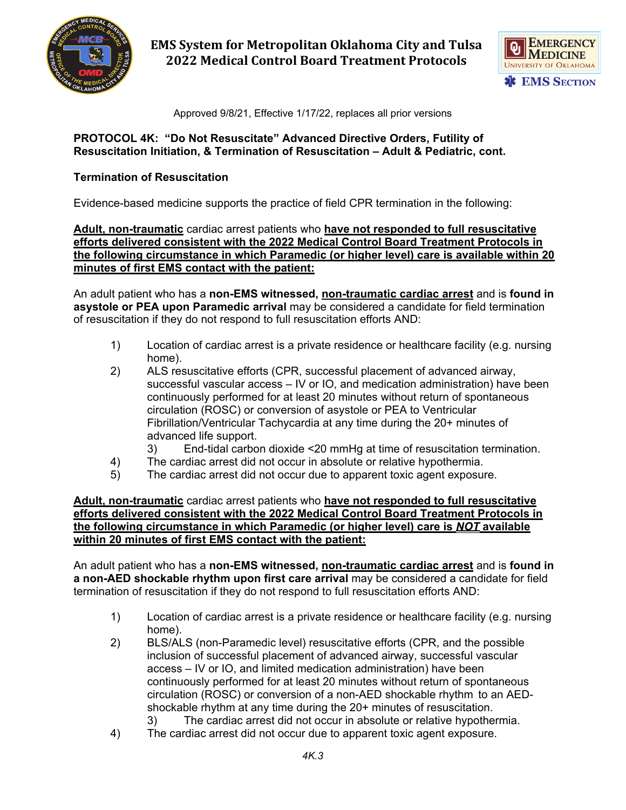



Approved 9/8/21, Effective 1/17/22, replaces all prior versions

#### **PROTOCOL 4K: "Do Not Resuscitate" Advanced Directive Orders, Futility of Resuscitation Initiation, & Termination of Resuscitation – Adult & Pediatric, cont.**

## **Termination of Resuscitation**

Evidence-based medicine supports the practice of field CPR termination in the following:

**Adult, non-traumatic** cardiac arrest patients who **have not responded to full resuscitative efforts delivered consistent with the 2022 Medical Control Board Treatment Protocols in the following circumstance in which Paramedic (or higher level) care is available within 20 minutes of first EMS contact with the patient:**

An adult patient who has a **non-EMS witnessed, non-traumatic cardiac arrest** and is **found in asystole or PEA upon Paramedic arrival** may be considered a candidate for field termination of resuscitation if they do not respond to full resuscitation efforts AND:

- 1) Location of cardiac arrest is a private residence or healthcare facility (e.g. nursing home).
- 2) ALS resuscitative efforts (CPR, successful placement of advanced airway, successful vascular access – IV or IO, and medication administration) have been continuously performed for at least 20 minutes without return of spontaneous circulation (ROSC) or conversion of asystole or PEA to Ventricular Fibrillation/Ventricular Tachycardia at any time during the 20+ minutes of advanced life support.
	- 3) End-tidal carbon dioxide <20 mmHg at time of resuscitation termination.
- 4) The cardiac arrest did not occur in absolute or relative hypothermia.
- 5) The cardiac arrest did not occur due to apparent toxic agent exposure.

#### **Adult, non-traumatic** cardiac arrest patients who **have not responded to full resuscitative efforts delivered consistent with the 2022 Medical Control Board Treatment Protocols in the following circumstance in which Paramedic (or higher level) care is** *NOT* **available within 20 minutes of first EMS contact with the patient:**

An adult patient who has a **non-EMS witnessed, non-traumatic cardiac arrest** and is **found in a non-AED shockable rhythm upon first care arrival** may be considered a candidate for field termination of resuscitation if they do not respond to full resuscitation efforts AND:

- 1) Location of cardiac arrest is a private residence or healthcare facility (e.g. nursing home).
- 2) BLS/ALS (non-Paramedic level) resuscitative efforts (CPR, and the possible inclusion of successful placement of advanced airway, successful vascular access – IV or IO, and limited medication administration) have been continuously performed for at least 20 minutes without return of spontaneous circulation (ROSC) or conversion of a non-AED shockable rhythm to an AEDshockable rhythm at any time during the 20+ minutes of resuscitation.
	- 3) The cardiac arrest did not occur in absolute or relative hypothermia.
- 4) The cardiac arrest did not occur due to apparent toxic agent exposure.